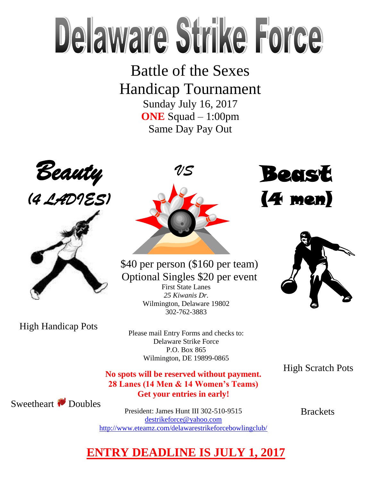## Delaware Strike Force

Battle of the Sexes Handicap Tournament Sunday July 16, 2017

**ONE** Squad – 1:00pm Same Day Pay Out





High Handicap Pots



First State Lanes \$40 per person (\$160 per team) Optional Singles \$20 per event

*25 Kiwanis Dr.* Wilmington, Delaware 19802 302-762-3883

Please mail Entry Forms and checks to: Delaware Strike Force P.O. Box 865 Wilmington, DE 19899-0865

High Scratch Pots

**No spots will be reserved without payment. 28 Lanes (14 Men & 14 Women's Teams) Get your entries in early!**

Sweetheart Doubles

President: James Hunt III 302-510-9515

[destrikeforce@yahoo.com](mailto:destrikeforce@yahoo.com) <http://www.eteamz.com/delawarestrikeforcebowlingclub/> **Brackets** 

Beast

(4 men)



## **ENTRY DEADLINE IS JULY 1, 2017**